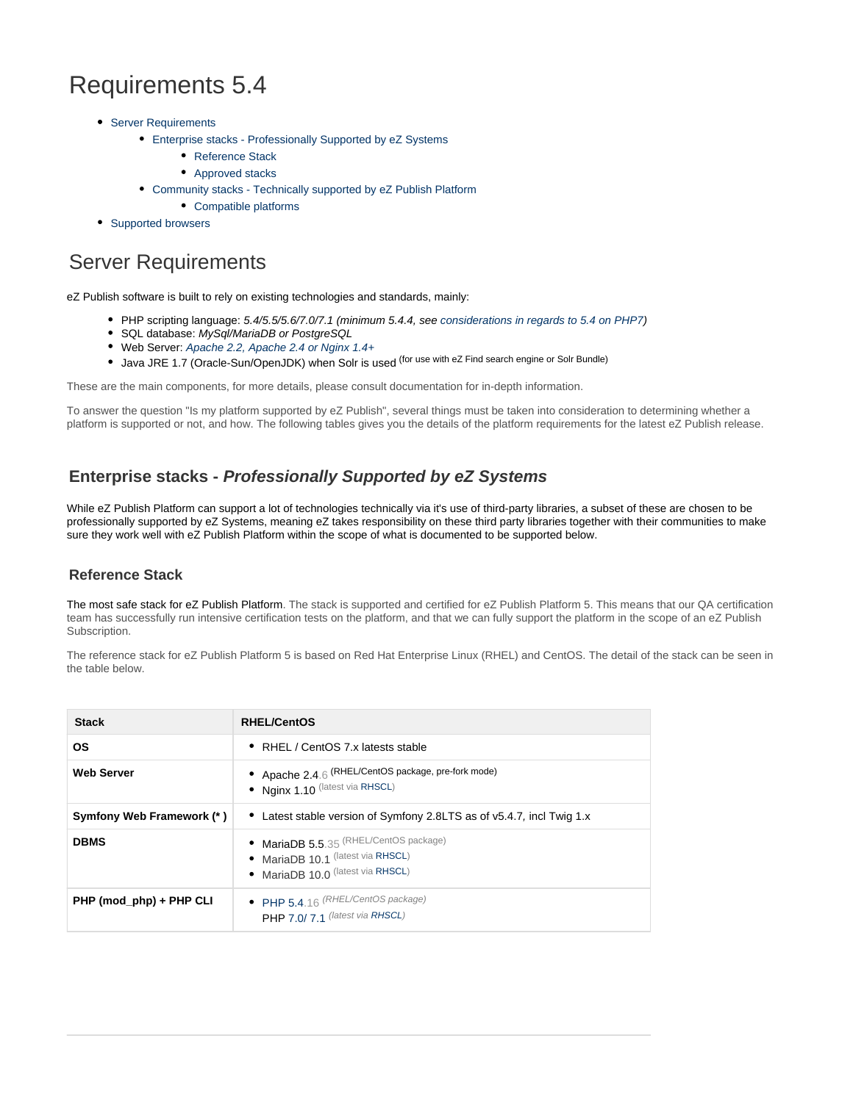# Requirements 5.4

- [Server Requirements](#page-0-0)
	- [Enterprise stacks Professionally Supported by eZ Systems](#page-0-1)
		- [Reference Stack](#page-0-2)
		- [Approved stacks](#page-1-0)
	- [Community stacks Technically supported by eZ Publish Platform](#page-3-0)
		- [Compatible platforms](#page-3-1)
- [Supported browsers](#page-3-2)

## <span id="page-0-0"></span>Server Requirements

eZ Publish software is built to rely on existing technologies and standards, mainly:

- PHP scripting language: 5.4/5.5/5.6/7.0/7.1 (minimum 5.4.4, see [considerations in regards to 5.4 on PHP7](https://doc.ez.no/display/EZP/Considerations+when+running+5.4+on+PHP7))
- SQL database: MySql/MariaDB or PostgreSQL
- Web Server: Apache 2.2, Apache 2.4 or Nginx 1.4+ • Java JRE 1.7 (Oracle-Sun/OpenJDK) when Solr is used <sup>(for use with eZ Find search engine or Solr Bundle)</sup>

These are the main components, for more details, please consult documentation for in-depth information.

To answer the question "Is my platform supported by eZ Publish", several things must be taken into consideration to determining whether a platform is supported or not, and how. The following tables gives you the details of the platform requirements for the latest eZ Publish release.

### <span id="page-0-1"></span>**Enterprise stacks - Professionally Supported by eZ Systems**

While eZ Publish Platform can support a lot of technologies technically via it's use of third-party libraries, a subset of these are chosen to be professionally supported by eZ Systems, meaning eZ takes responsibility on these third party libraries together with their communities to make sure they work well with eZ Publish Platform within the scope of what is documented to be supported below.

#### <span id="page-0-2"></span>**Reference Stack**

The most safe stack for eZ Publish Platform. The stack is supported and certified for eZ Publish Platform 5. This means that our QA certification team has successfully run intensive certification tests on the platform, and that we can fully support the platform in the scope of an eZ Publish Subscription.

The reference stack for eZ Publish Platform 5 is based on Red Hat Enterprise Linux (RHEL) and CentOS. The detail of the stack can be seen in the table below.

| <b>Stack</b>              | <b>RHEL/CentOS</b>                                                                                                  |
|---------------------------|---------------------------------------------------------------------------------------------------------------------|
| <b>OS</b>                 | RHEL / CentOS 7.x latests stable<br>٠                                                                               |
| <b>Web Server</b>         | Apache 2.4.6 (RHEL/CentOS package, pre-fork mode)<br>٠<br>• Nginx 1.10 (latest via RHSCL)                           |
| Symfony Web Framework (*) | • Latest stable version of Symfony 2.8LTS as of v5.4.7, incl Twig 1.x                                               |
| <b>DBMS</b>               | • MariaDB 5.5.35 (RHEL/CentOS package)<br>• MariaDB 10.1 (latest via RHSCL)<br>MariaDB 10.0 (latest via RHSCL)<br>٠ |
| PHP (mod_php) + PHP CLI   | • PHP 5.4.16 (RHEL/CentOS package)<br>PHP 7.0/7.1 (latest via RHSCL)                                                |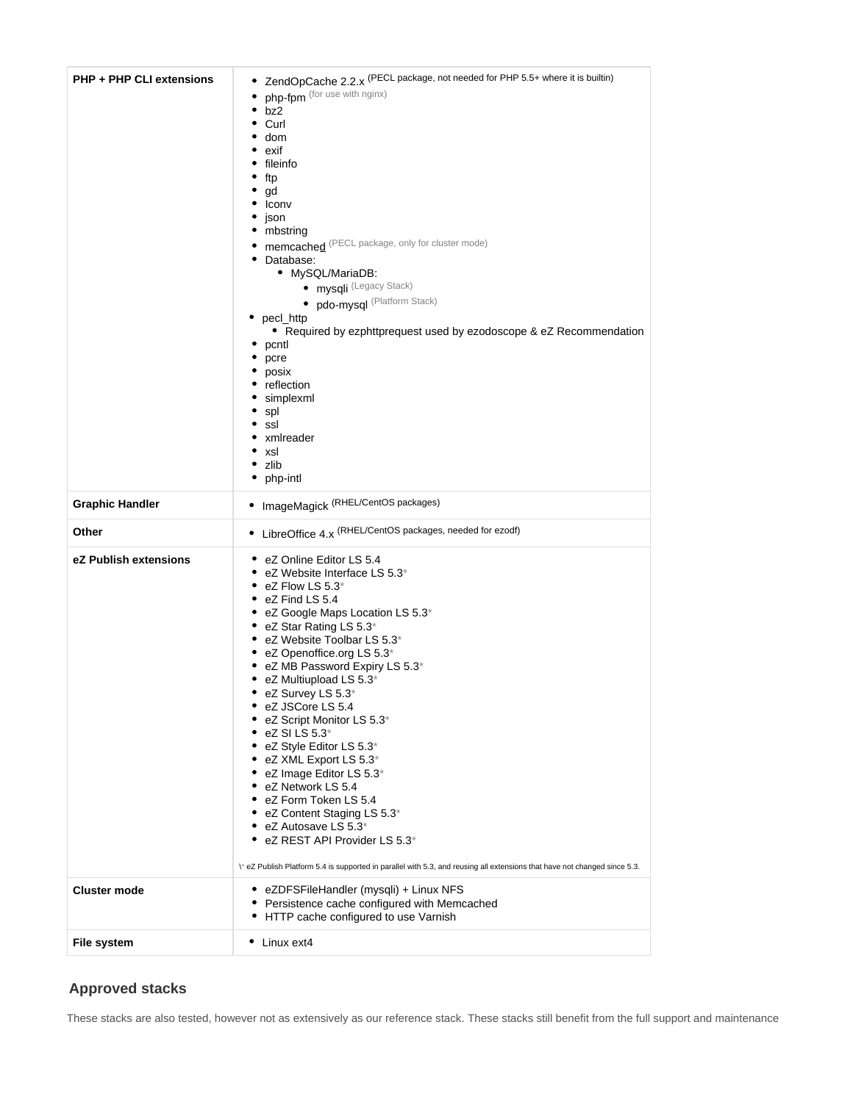| <b>PHP + PHP CLI extensions</b> | ZendOpCache 2.2.x (PECL package, not needed for PHP 5.5+ where it is builtin)<br>٠<br>php-fpm (for use with nginx)<br>bz2<br>٠<br>Curl<br>٠<br>dom<br>exif<br>fileinfo<br>ftp<br>gd<br>Iconv<br>json<br>mbstring<br>٠<br>memcached (PECL package, only for cluster mode)<br>Database:<br>٠<br>• MySQL/MariaDB:<br>· mysqli (Legacy Stack)<br>· pdo-mysql (Platform Stack)<br>• pecl_http<br>• Required by ezphttprequest used by ezodoscope & eZ Recommendation<br>pcntl<br>٠<br>pcre<br>posix<br>reflection<br>simplexml<br>spl<br>ssl<br>xmlreader<br>xsl<br>zlib<br>٠<br>php-intl<br>٠                                                                                                                                                                                                   |  |
|---------------------------------|---------------------------------------------------------------------------------------------------------------------------------------------------------------------------------------------------------------------------------------------------------------------------------------------------------------------------------------------------------------------------------------------------------------------------------------------------------------------------------------------------------------------------------------------------------------------------------------------------------------------------------------------------------------------------------------------------------------------------------------------------------------------------------------------|--|
| <b>Graphic Handler</b>          | • ImageMagick (RHEL/CentOS packages)                                                                                                                                                                                                                                                                                                                                                                                                                                                                                                                                                                                                                                                                                                                                                        |  |
| Other                           | • LibreOffice 4.x (RHEL/CentOS packages, needed for ezodf)                                                                                                                                                                                                                                                                                                                                                                                                                                                                                                                                                                                                                                                                                                                                  |  |
| eZ Publish extensions           | eZ Online Editor LS 5.4<br>٠<br>• eZ Website Interface LS $5.3^*$<br>eZ Flow LS 5.3*<br>eZ Find LS 5.4<br>٠<br>eZ Google Maps Location LS 5.3*<br>eZ Star Rating LS 5.3*<br>٠<br>eZ Website Toolbar LS 5.3*<br>٠<br>eZ Openoffice.org LS 5.3*<br>eZ MB Password Expiry LS 5.3*<br>٠<br>eZ Multiupload LS 5.3*<br>٠<br>eZ Survey LS 5.3 $^{\ast}$<br>eZ JSCore LS 5.4<br>eZ Script Monitor LS 5.3*<br>eZ SI LS 5.3 <sup>*</sup><br>eZ Style Editor LS 5.3*<br>eZ XML Export LS 5.3*<br>eZ Image Editor LS 5.3*<br>eZ Network LS 5.4<br>eZ Form Token LS 5.4<br>٠<br>eZ Content Staging LS 5.3*<br>eZ Autosave LS 5.3*<br>٠<br>eZ REST API Provider LS 5.3*<br>٠<br>\* eZ Publish Platform 5.4 is supported in parallel with 5.3, and reusing all extensions that have not changed since 5.3. |  |
| <b>Cluster mode</b>             | • eZDFSFileHandler (mysqli) + Linux NFS<br>• Persistence cache configured with Memcached<br>HTTP cache configured to use Varnish<br>٠                                                                                                                                                                                                                                                                                                                                                                                                                                                                                                                                                                                                                                                       |  |
| File system                     | • Linux ext4                                                                                                                                                                                                                                                                                                                                                                                                                                                                                                                                                                                                                                                                                                                                                                                |  |

#### <span id="page-1-0"></span>**Approved stacks**

These stacks are also tested, however not as extensively as our reference stack. These stacks still benefit from the full support and maintenance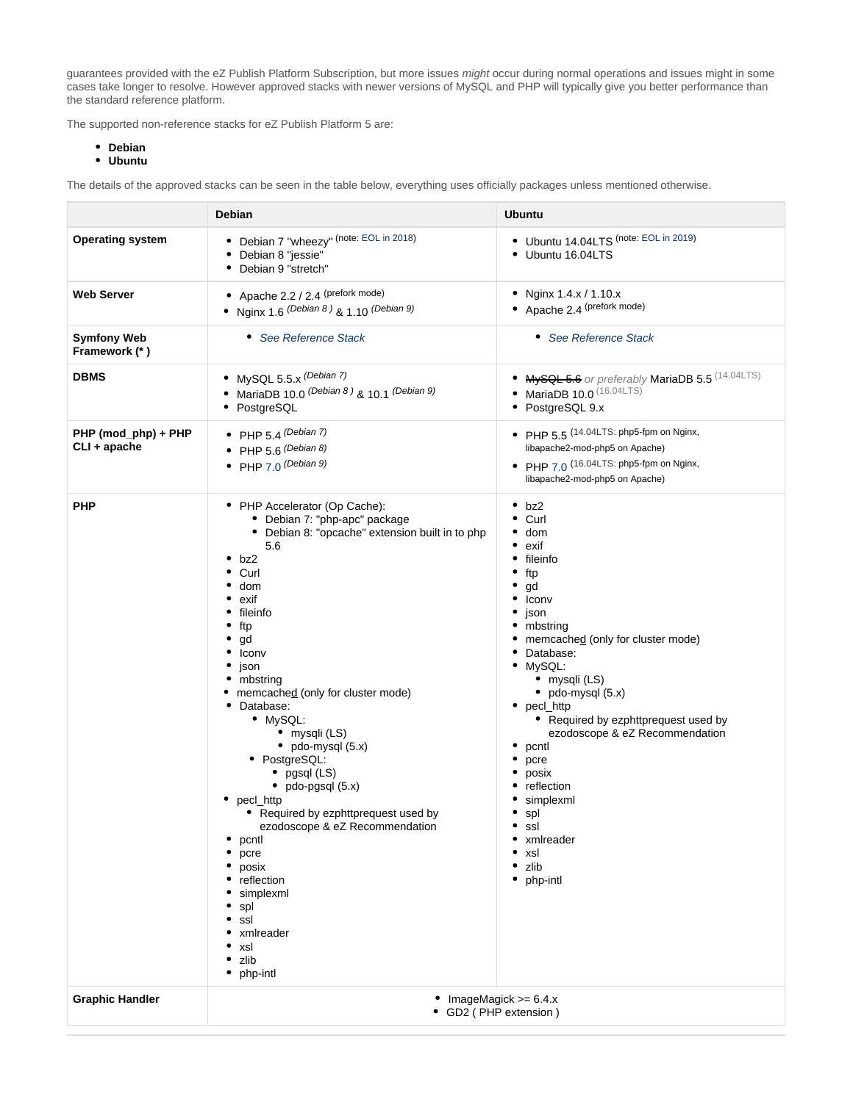guarantees provided with the eZ Publish Platform Subscription, but more issues *might* occur during normal operations and issues might in some cases take longer to resolve. However approved stacks with newer versions of MySQL and PHP will typically give you better performance than the standard reference platform.

The supported non-reference stacks for eZ Publish Platform 5 are:

- **Debian**
- **Ubuntu**

The details of the approved stacks can be seen in the table below, everything uses officially packages unless mentioned otherwise.

|                                     | Debian                                                                                                                                                                                                                                                                                                                                                                                                                                                                                                                                                                                                           | <b>Ubuntu</b>                                                                                                                                                                                                                                                                                                                                                                                                                                                                                          |
|-------------------------------------|------------------------------------------------------------------------------------------------------------------------------------------------------------------------------------------------------------------------------------------------------------------------------------------------------------------------------------------------------------------------------------------------------------------------------------------------------------------------------------------------------------------------------------------------------------------------------------------------------------------|--------------------------------------------------------------------------------------------------------------------------------------------------------------------------------------------------------------------------------------------------------------------------------------------------------------------------------------------------------------------------------------------------------------------------------------------------------------------------------------------------------|
| <b>Operating system</b>             | Debian 7 "wheezy" (note: EOL in 2018)<br>٠<br>Debian 8 "jessie"<br>٠<br>• Debian 9 "stretch"                                                                                                                                                                                                                                                                                                                                                                                                                                                                                                                     | • Ubuntu 14.04LTS (note: EOL in 2019)<br>• Ubuntu 16.04LTS                                                                                                                                                                                                                                                                                                                                                                                                                                             |
| <b>Web Server</b>                   | Apache 2.2 / 2.4 (prefork mode)<br>٠<br>• Nginx 1.6 $(Debian 8)$ & 1.10 $(Debian 9)$                                                                                                                                                                                                                                                                                                                                                                                                                                                                                                                             | • Nginx $1.4.x / 1.10.x$<br>• Apache 2.4 (prefork mode)                                                                                                                                                                                                                                                                                                                                                                                                                                                |
| <b>Symfony Web</b><br>Framework (*) | • See Reference Stack                                                                                                                                                                                                                                                                                                                                                                                                                                                                                                                                                                                            | • See Reference Stack                                                                                                                                                                                                                                                                                                                                                                                                                                                                                  |
| <b>DBMS</b>                         | • MySQL 5.5.x (Debian 7)<br>• MariaDB 10.0 $(Debian 8)$ & 10.1 $(Debian 9)$<br>• PostgreSQL                                                                                                                                                                                                                                                                                                                                                                                                                                                                                                                      | • MySQL 5.6 or preferably MariaDB 5.5 (14.04LTS)<br>• MariaDB $10.0$ $(16.04LTS)$<br>• PostgreSQL 9.x                                                                                                                                                                                                                                                                                                                                                                                                  |
| PHP (mod_php) + PHP<br>CLI + apache | • PHP 5.4 (Debian 7)<br>• PHP 5.6 $(Debian 8)$<br>• PHP $7.0$ (Debian 9)                                                                                                                                                                                                                                                                                                                                                                                                                                                                                                                                         | • PHP $5.5$ (14.04LTS: php5-fpm on Nginx,<br>libapache2-mod-php5 on Apache)<br>• PHP $7.0$ (16.04LTS: php5-fpm on Nginx,<br>libapache2-mod-php5 on Apache)                                                                                                                                                                                                                                                                                                                                             |
| <b>PHP</b>                          | • PHP Accelerator (Op Cache):<br>• Debian 7: "php-apc" package<br>• Debian 8: "opcache" extension built in to php<br>5.6<br>٠<br>bz2<br>Curl<br>٠<br>dom<br>exif<br>fileinfo<br>ftp<br>gd<br>Iconv<br>٠<br>json<br>mbstring<br>memcached (only for cluster mode)<br>• Database:<br>• MySQL:<br>• mysqli (LS)<br>$\bullet$ pdo-mysql (5.x)<br>• PostgreSQL:<br>• $pgsql$ (LS)<br>• $pdo-pgsql(5.x)$<br>• pecl_http<br>• Required by ezphttprequest used by<br>ezodoscope & eZ Recommendation<br>pcntl<br>pcre<br>posix<br>reflection<br>simplexml<br>spl<br>ssl<br>xmlreader<br>xsl<br>zlib<br>٠<br>php-intl<br>٠ | • bz2<br>$\bullet$ Curl<br>dom<br>٠<br>$\bullet$ exif<br>• fileinfo<br>٠<br>ftp<br>gd<br>$\bullet$ Iconv<br>$•$ json<br>• mbstring<br>• memcached (only for cluster mode)<br>• Database:<br>· MySQL:<br>• mysqli (LS)<br>$\bullet$ pdo-mysql (5.x)<br>• $pecL$ http<br>• Required by ezphttprequest used by<br>ezodoscope & eZ Recommendation<br>$\bullet$ pcntl<br>pcre<br>٠<br>posix<br>• reflection<br>simplexml<br>$\bullet$ spl<br>ssl<br>• xmlreader<br>$\bullet$ xsl<br>zlib<br>٠<br>• php-intl |
| <b>Graphic Handler</b>              | • ImageMagick $>= 6.4.x$<br>• GD2 ( PHP extension )                                                                                                                                                                                                                                                                                                                                                                                                                                                                                                                                                              |                                                                                                                                                                                                                                                                                                                                                                                                                                                                                                        |